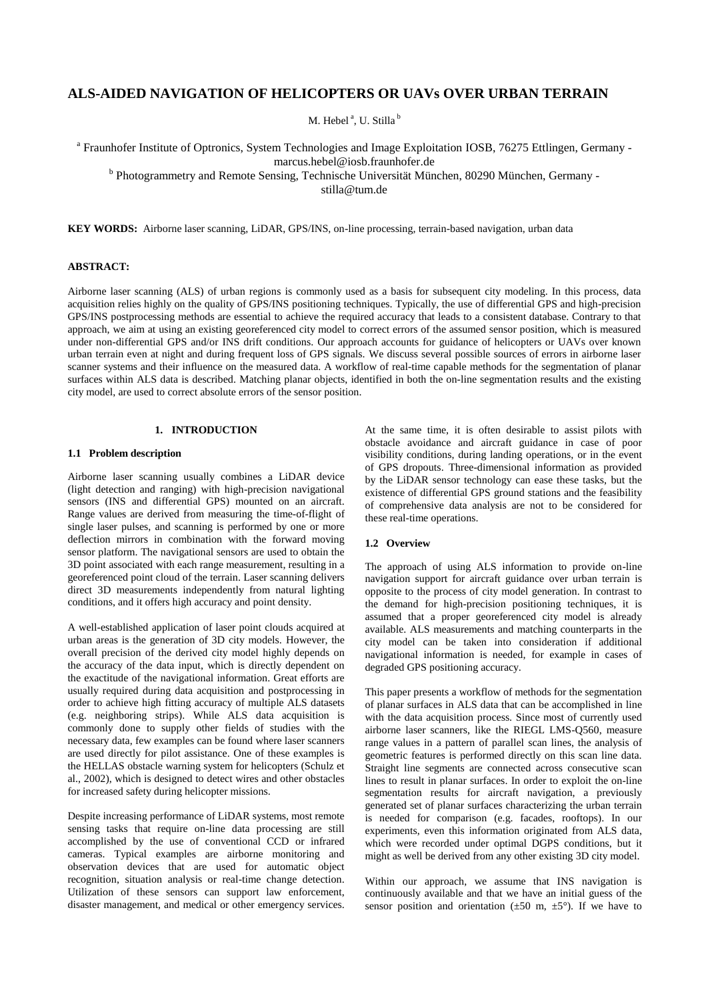# **ALS-AIDED NAVIGATION OF HELICOPTERS OR UAVs OVER URBAN TERRAIN**

M. Hebel<sup>a</sup>, U. Stilla<sup>b</sup>

<sup>a</sup> Fraunhofer Institute of Optronics, System Technologies and Image Exploitation IOSB, 76275 Ettlingen, Germany marcus.hebel@iosb.fraunhofer.de

<sup>b</sup> Photogrammetry and Remote Sensing, Technische Universität München, 80290 München, Germany -

stilla@tum.de

**KEY WORDS:** Airborne laser scanning, LiDAR, GPS/INS, on-line processing, terrain-based navigation, urban data

# **ABSTRACT:**

Airborne laser scanning (ALS) of urban regions is commonly used as a basis for subsequent city modeling. In this process, data acquisition relies highly on the quality of GPS/INS positioning techniques. Typically, the use of differential GPS and high-precision GPS/INS postprocessing methods are essential to achieve the required accuracy that leads to a consistent database. Contrary to that approach, we aim at using an existing georeferenced city model to correct errors of the assumed sensor position, which is measured under non-differential GPS and/or INS drift conditions. Our approach accounts for guidance of helicopters or UAVs over known urban terrain even at night and during frequent loss of GPS signals. We discuss several possible sources of errors in airborne laser scanner systems and their influence on the measured data. A workflow of real-time capable methods for the segmentation of planar surfaces within ALS data is described. Matching planar objects, identified in both the on-line segmentation results and the existing city model, are used to correct absolute errors of the sensor position.

# **1. INTRODUCTION**

# **1.1 Problem description**

Airborne laser scanning usually combines a LiDAR device (light detection and ranging) with high-precision navigational sensors (INS and differential GPS) mounted on an aircraft. Range values are derived from measuring the time-of-flight of single laser pulses, and scanning is performed by one or more deflection mirrors in combination with the forward moving sensor platform. The navigational sensors are used to obtain the 3D point associated with each range measurement, resulting in a georeferenced point cloud of the terrain. Laser scanning delivers direct 3D measurements independently from natural lighting conditions, and it offers high accuracy and point density.

A well-established application of laser point clouds acquired at urban areas is the generation of 3D city models. However, the overall precision of the derived city model highly depends on the accuracy of the data input, which is directly dependent on the exactitude of the navigational information. Great efforts are usually required during data acquisition and postprocessing in order to achieve high fitting accuracy of multiple ALS datasets (e.g. neighboring strips). While ALS data acquisition is commonly done to supply other fields of studies with the necessary data, few examples can be found where laser scanners are used directly for pilot assistance. One of these examples is the HELLAS obstacle warning system for helicopters (Schulz et al., 2002), which is designed to detect wires and other obstacles for increased safety during helicopter missions.

Despite increasing performance of LiDAR systems, most remote sensing tasks that require on-line data processing are still accomplished by the use of conventional CCD or infrared cameras. Typical examples are airborne monitoring and observation devices that are used for automatic object recognition, situation analysis or real-time change detection. Utilization of these sensors can support law enforcement, disaster management, and medical or other emergency services. At the same time, it is often desirable to assist pilots with obstacle avoidance and aircraft guidance in case of poor visibility conditions, during landing operations, or in the event of GPS dropouts. Three-dimensional information as provided by the LiDAR sensor technology can ease these tasks, but the existence of differential GPS ground stations and the feasibility of comprehensive data analysis are not to be considered for these real-time operations.

# **1.2 Overview**

The approach of using ALS information to provide on-line navigation support for aircraft guidance over urban terrain is opposite to the process of city model generation. In contrast to the demand for high-precision positioning techniques, it is assumed that a proper georeferenced city model is already available. ALS measurements and matching counterparts in the city model can be taken into consideration if additional navigational information is needed, for example in cases of degraded GPS positioning accuracy.

This paper presents a workflow of methods for the segmentation of planar surfaces in ALS data that can be accomplished in line with the data acquisition process. Since most of currently used airborne laser scanners, like the RIEGL LMS-Q560, measure range values in a pattern of parallel scan lines, the analysis of geometric features is performed directly on this scan line data. Straight line segments are connected across consecutive scan lines to result in planar surfaces. In order to exploit the on-line segmentation results for aircraft navigation, a previously generated set of planar surfaces characterizing the urban terrain is needed for comparison (e.g. facades, rooftops). In our experiments, even this information originated from ALS data, which were recorded under optimal DGPS conditions, but it might as well be derived from any other existing 3D city model.

Within our approach, we assume that INS navigation is continuously available and that we have an initial guess of the sensor position and orientation ( $\pm 50$  m,  $\pm 5^{\circ}$ ). If we have to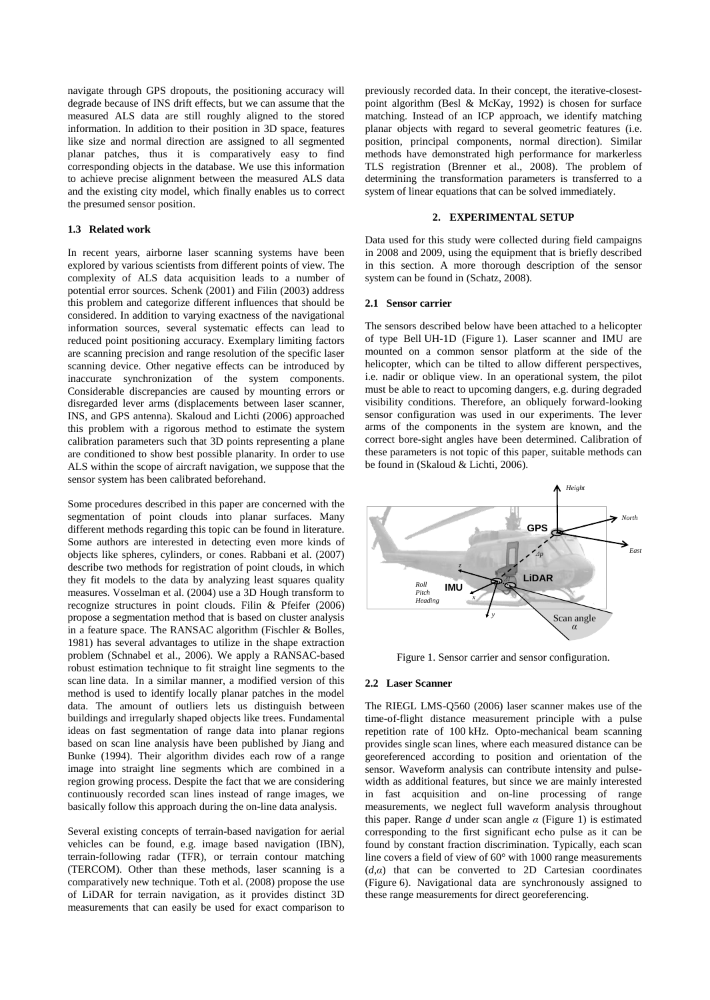navigate through GPS dropouts, the positioning accuracy will degrade because of INS drift effects, but we can assume that the measured ALS data are still roughly aligned to the stored information. In addition to their position in 3D space, features like size and normal direction are assigned to all segmented planar patches, thus it is comparatively easy to find corresponding objects in the database. We use this information to achieve precise alignment between the measured ALS data and the existing city model, which finally enables us to correct the presumed sensor position.

# **1.3 Related work**

In recent years, airborne laser scanning systems have been explored by various scientists from different points of view. The complexity of ALS data acquisition leads to a number of potential error sources. Schenk (2001) and Filin (2003) address this problem and categorize different influences that should be considered. In addition to varying exactness of the navigational information sources, several systematic effects can lead to reduced point positioning accuracy. Exemplary limiting factors are scanning precision and range resolution of the specific laser scanning device. Other negative effects can be introduced by inaccurate synchronization of the system components. Considerable discrepancies are caused by mounting errors or disregarded lever arms (displacements between laser scanner, INS, and GPS antenna). Skaloud and Lichti (2006) approached this problem with a rigorous method to estimate the system calibration parameters such that 3D points representing a plane are conditioned to show best possible planarity. In order to use ALS within the scope of aircraft navigation, we suppose that the sensor system has been calibrated beforehand.

Some procedures described in this paper are concerned with the segmentation of point clouds into planar surfaces. Many different methods regarding this topic can be found in literature. Some authors are interested in detecting even more kinds of objects like spheres, cylinders, or cones. Rabbani et al. (2007) describe two methods for registration of point clouds, in which they fit models to the data by analyzing least squares quality measures. Vosselman et al. (2004) use a 3D Hough transform to recognize structures in point clouds. Filin & Pfeifer (2006) propose a segmentation method that is based on cluster analysis in a feature space. The RANSAC algorithm (Fischler & Bolles, 1981) has several advantages to utilize in the shape extraction problem (Schnabel et al., 2006). We apply a RANSAC-based robust estimation technique to fit straight line segments to the scan line data. In a similar manner, a modified version of this method is used to identify locally planar patches in the model data. The amount of outliers lets us distinguish between buildings and irregularly shaped objects like trees. Fundamental ideas on fast segmentation of range data into planar regions based on scan line analysis have been published by Jiang and Bunke (1994). Their algorithm divides each row of a range image into straight line segments which are combined in a region growing process. Despite the fact that we are considering continuously recorded scan lines instead of range images, we basically follow this approach during the on-line data analysis.

Several existing concepts of terrain-based navigation for aerial vehicles can be found, e.g. image based navigation (IBN), terrain-following radar (TFR), or terrain contour matching (TERCOM). Other than these methods, laser scanning is a comparatively new technique. Toth et al. (2008) propose the use of LiDAR for terrain navigation, as it provides distinct 3D measurements that can easily be used for exact comparison to

previously recorded data. In their concept, the iterative-closestpoint algorithm (Besl & McKay, 1992) is chosen for surface matching. Instead of an ICP approach, we identify matching planar objects with regard to several geometric features (i.e. position, principal components, normal direction). Similar methods have demonstrated high performance for markerless TLS registration (Brenner et al., 2008). The problem of determining the transformation parameters is transferred to a system of linear equations that can be solved immediately.

#### **2. EXPERIMENTAL SETUP**

Data used for this study were collected during field campaigns in 2008 and 2009, using the equipment that is briefly described in this section. A more thorough description of the sensor system can be found in (Schatz, 2008).

### **2.1 Sensor carrier**

The sensors described below have been attached to a helicopter of type Bell UH-1D (Figure 1). Laser scanner and IMU are mounted on a common sensor platform at the side of the helicopter, which can be tilted to allow different perspectives, i.e. nadir or oblique view. In an operational system, the pilot must be able to react to upcoming dangers, e.g. during degraded visibility conditions. Therefore, an obliquely forward-looking sensor configuration was used in our experiments. The lever arms of the components in the system are known, and the correct bore-sight angles have been determined. Calibration of these parameters is not topic of this paper, suitable methods can be found in (Skaloud & Lichti, 2006).



Figure 1. Sensor carrier and sensor configuration.

#### **2.2 Laser Scanner**

The RIEGL LMS-Q560 (2006) laser scanner makes use of the time-of-flight distance measurement principle with a pulse repetition rate of 100 kHz. Opto-mechanical beam scanning provides single scan lines, where each measured distance can be georeferenced according to position and orientation of the sensor. Waveform analysis can contribute intensity and pulsewidth as additional features, but since we are mainly interested in fast acquisition and on-line processing of range measurements, we neglect full waveform analysis throughout this paper. Range  $d$  under scan angle  $\alpha$  (Figure 1) is estimated corresponding to the first significant echo pulse as it can be found by constant fraction discrimination. Typically, each scan line covers a field of view of 60° with 1000 range measurements  $(d, \alpha)$  that can be converted to 2D Cartesian coordinates (Figure 6). Navigational data are synchronously assigned to these range measurements for direct georeferencing.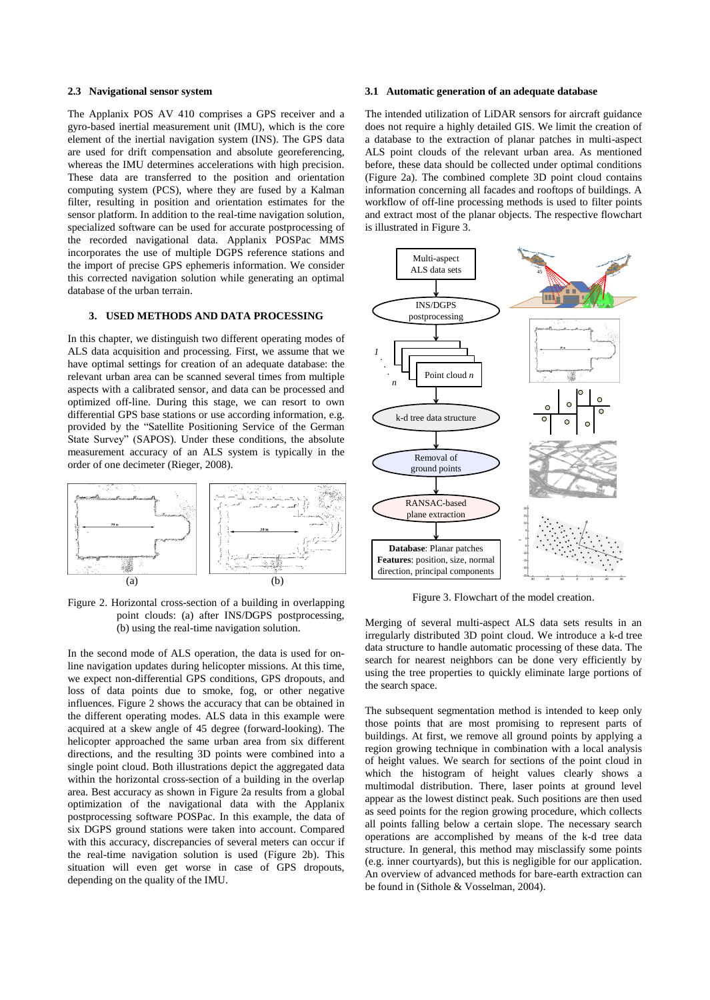# **2.3 Navigational sensor system**

The Applanix POS AV 410 comprises a GPS receiver and a gyro-based inertial measurement unit (IMU), which is the core element of the inertial navigation system (INS). The GPS data are used for drift compensation and absolute georeferencing, whereas the IMU determines accelerations with high precision. These data are transferred to the position and orientation computing system (PCS), where they are fused by a Kalman filter, resulting in position and orientation estimates for the sensor platform. In addition to the real-time navigation solution, specialized software can be used for accurate postprocessing of the recorded navigational data. Applanix POSPac MMS incorporates the use of multiple DGPS reference stations and the import of precise GPS ephemeris information. We consider this corrected navigation solution while generating an optimal database of the urban terrain.

# **3. USED METHODS AND DATA PROCESSING**

In this chapter, we distinguish two different operating modes of ALS data acquisition and processing. First, we assume that we have optimal settings for creation of an adequate database: the relevant urban area can be scanned several times from multiple aspects with a calibrated sensor, and data can be processed and optimized off-line. During this stage, we can resort to own differential GPS base stations or use according information, e.g. provided by the "Satellite Positioning Service of the German State Survey" (SAPOS). Under these conditions, the absolute measurement accuracy of an ALS system is typically in the order of one decimeter (Rieger, 2008).



Figure 2. Horizontal cross-section of a building in overlapping point clouds: (a) after INS/DGPS postprocessing, (b) using the real-time navigation solution.

In the second mode of ALS operation, the data is used for online navigation updates during helicopter missions. At this time, we expect non-differential GPS conditions, GPS dropouts, and loss of data points due to smoke, fog, or other negative influences. Figure 2 shows the accuracy that can be obtained in the different operating modes. ALS data in this example were acquired at a skew angle of 45 degree (forward-looking). The helicopter approached the same urban area from six different directions, and the resulting 3D points were combined into a single point cloud. Both illustrations depict the aggregated data within the horizontal cross-section of a building in the overlap area. Best accuracy as shown in Figure 2a results from a global optimization of the navigational data with the Applanix postprocessing software POSPac. In this example, the data of six DGPS ground stations were taken into account. Compared with this accuracy, discrepancies of several meters can occur if the real-time navigation solution is used (Figure 2b). This situation will even get worse in case of GPS dropouts, depending on the quality of the IMU.

# <span id="page-2-0"></span>**3.1 Automatic generation of an adequate database**

The intended utilization of LiDAR sensors for aircraft guidance does not require a highly detailed GIS. We limit the creation of a database to the extraction of planar patches in multi-aspect ALS point clouds of the relevant urban area. As mentioned before, these data should be collected under optimal conditions (Figure 2a). The combined complete 3D point cloud contains information concerning all facades and rooftops of buildings. A workflow of off-line processing methods is used to filter points and extract most of the planar objects. The respective flowchart is illustrated in Figure 3.



Figure 3. Flowchart of the model creation.

Merging of several multi-aspect ALS data sets results in an irregularly distributed 3D point cloud. We introduce a k-d tree data structure to handle automatic processing of these data. The search for nearest neighbors can be done very efficiently by using the tree properties to quickly eliminate large portions of the search space.

The subsequent segmentation method is intended to keep only those points that are most promising to represent parts of buildings. At first, we remove all ground points by applying a region growing technique in combination with a local analysis of height values. We search for sections of the point cloud in which the histogram of height values clearly shows a multimodal distribution. There, laser points at ground level appear as the lowest distinct peak. Such positions are then used as seed points for the region growing procedure, which collects all points falling below a certain slope. The necessary search operations are accomplished by means of the k-d tree data structure. In general, this method may misclassify some points (e.g. inner courtyards), but this is negligible for our application. An overview of advanced methods for bare-earth extraction can be found in (Sithole & Vosselman, 2004).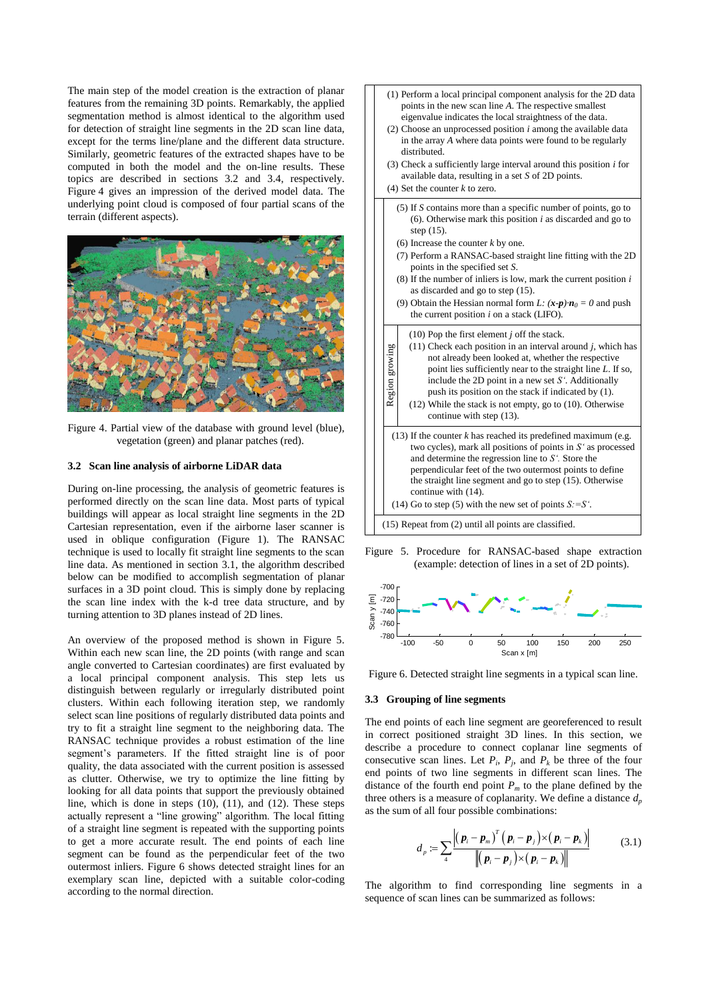The main step of the model creation is the extraction of planar features from the remaining 3D points. Remarkably, the applied segmentation method is almost identical to the algorithm used for detection of straight line segments in the 2D scan line data, except for the terms line/plane and the different data structure. Similarly, geometric features of the extracted shapes have to be computed in both the model and the on-line results. These topics are described in sections [3.2](#page-3-0) and [3.4,](#page-4-0) respectively. Figure 4 gives an impression of the derived model data. The underlying point cloud is composed of four partial scans of the terrain (different aspects).



Figure 4. Partial view of the database with ground level (blue), vegetation (green) and planar patches (red).

#### <span id="page-3-0"></span>**3.2 Scan line analysis of airborne LiDAR data**

During on-line processing, the analysis of geometric features is performed directly on the scan line data. Most parts of typical buildings will appear as local straight line segments in the 2D Cartesian representation, even if the airborne laser scanner is used in oblique configuration (Figure 1). The RANSAC technique is used to locally fit straight line segments to the scan line data. As mentioned in section [3.1,](#page-2-0) the algorithm described below can be modified to accomplish segmentation of planar surfaces in a 3D point cloud. This is simply done by replacing the scan line index with the k-d tree data structure, and by turning attention to 3D planes instead of 2D lines.

An overview of the proposed method is shown in Figure 5. Within each new scan line, the 2D points (with range and scan angle converted to Cartesian coordinates) are first evaluated by a local principal component analysis. This step lets us distinguish between regularly or irregularly distributed point clusters. Within each following iteration step, we randomly select scan line positions of regularly distributed data points and try to fit a straight line segment to the neighboring data. The RANSAC technique provides a robust estimation of the line segment's parameters. If the fitted straight line is of poor quality, the data associated with the current position is assessed as clutter. Otherwise, we try to optimize the line fitting by looking for all data points that support the previously obtained line, which is done in steps [\(10\),](#page-3-1) [\(11\),](#page-3-2) and [\(12\).](#page-3-3) These steps actually represent a "line growing" algorithm. The local fitting of a straight line segment is repeated with the supporting points to get a more accurate result. The end points of each line segment can be found as the perpendicular feet of the two outermost inliers. Figure 6 shows detected straight lines for an exemplary scan line, depicted with a suitable color-coding according to the normal direction.

- <span id="page-3-6"></span>(1) Perform a local principal component analysis for the 2D data points in the new scan line *A*. The respective smallest eigenvalue indicates the local straightness of the data.
- <span id="page-3-10"></span>(2) Choose an unprocessed position *i* among the available data in the array *A* where data points were found to be regularly distributed.
- (3) Check a sufficiently large interval around this position *i* for available data, resulting in a set *S* of 2D points.
- <span id="page-3-9"></span><span id="page-3-4"></span>(4) Set the counter *k* to zero.
	- (5) If *S* contains more than a specific number of points, go to [\(6\).](#page-3-4) Otherwise mark this position *i* as discarded and go to ste[p \(15\).](#page-3-5)
	- (6) Increase the counter *k* by one.
	- (7) Perform a RANSAC-based straight line fitting with the 2D points in the specified set *S*.
	- (8) If the number of inliers is low, mark the current position *i* as discarded and go to ste[p \(15\).](#page-3-5)
	- (9) Obtain the Hessian normal form *L*:  $(x-p) \cdot n_0 = 0$  and push the current position *i* on a stack (LIFO).

<span id="page-3-7"></span><span id="page-3-3"></span><span id="page-3-2"></span><span id="page-3-1"></span>

<span id="page-3-8"></span><span id="page-3-5"></span>Figure 5. Procedure for RANSAC-based shape extraction (example: detection of lines in a set of 2D points).



Figure 6. Detected straight line segments in a typical scan line.

# **3.3 Grouping of line segments**

The end points of each line segment are georeferenced to result in correct positioned straight 3D lines. In this section, we describe a procedure to connect coplanar line segments of consecutive scan lines. Let  $P_i$ ,  $P_j$ , and  $P_k$  be three of the four end points of two line segments in different scan lines. The distance of the fourth end point  $P_m$  to the plane defined by the three others is a measure of coplanarity. We define a distance  $d_p$ as the sum of all four possible combinations:

$$
d_p := \sum_{4} \frac{\left| \left( \boldsymbol{p}_i - \boldsymbol{p}_m \right)^T \left( \boldsymbol{p}_i - \boldsymbol{p}_j \right) \times \left( \boldsymbol{p}_i - \boldsymbol{p}_k \right) \right|}{\left\| \left( \boldsymbol{p}_i - \boldsymbol{p}_j \right) \times \left( \boldsymbol{p}_i - \boldsymbol{p}_k \right) \right\|}
$$
(3.1)

The algorithm to find corresponding line segments in a sequence of scan lines can be summarized as follows: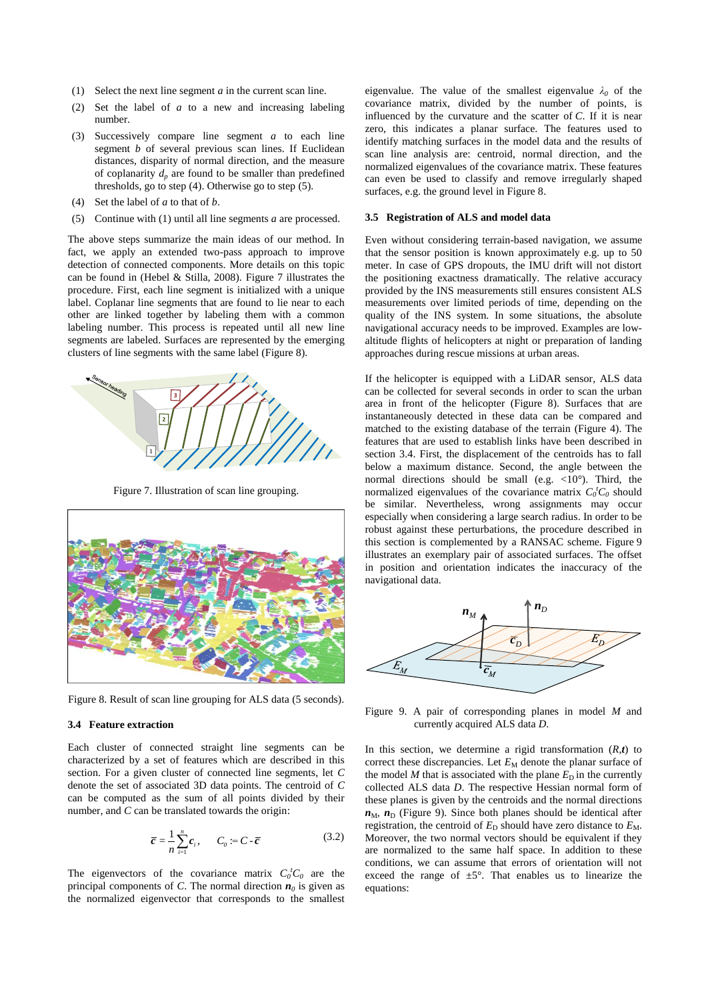- <span id="page-4-3"></span>(1) Select the next line segment *a* in the current scan line.
- (2) Set the label of *a* to a new and increasing labeling number.
- (3) Successively compare line segment *a* to each line segment *b* of several previous scan lines. If Euclidean distances, disparity of normal direction, and the measure of coplanarity  $d<sub>p</sub>$  are found to be smaller than predefined thresholds, go to ste[p \(4\).](#page-4-1) Otherwise go to step [\(5\).](#page-4-2)
- <span id="page-4-1"></span>(4) Set the label of *a* to that of *b*.
- <span id="page-4-2"></span>(5) Continue with [\(1\)](#page-4-3) until all line segments *a* are processed.

The above steps summarize the main ideas of our method. In fact, we apply an extended two-pass approach to improve detection of connected components. More details on this topic can be found in (Hebel & Stilla, 2008). Figure 7 illustrates the procedure. First, each line segment is initialized with a unique label. Coplanar line segments that are found to lie near to each other are linked together by labeling them with a common labeling number. This process is repeated until all new line segments are labeled. Surfaces are represented by the emerging clusters of line segments with the same label (Figure 8).



Figure 7. Illustration of scan line grouping.



Figure 8. Result of scan line grouping for ALS data (5 seconds).

### <span id="page-4-0"></span>**3.4 Feature extraction**

Each cluster of connected straight line segments can be characterized by a set of features which are described in this section. For a given cluster of connected line segments, let *C* denote the set of associated 3D data points. The centroid of *C* can be computed as the sum of all points divided by their number, and *C* can be translated towards the origin:

$$
\bar{c} = \frac{1}{n} \sum_{i=1}^{n} c_i, \qquad C_0 := C - \bar{c}
$$
 (3.2)

The eigenvectors of the covariance matrix  $C_0^t C_0$  are the principal components of *C*. The normal direction  $n_0$  is given as the normalized eigenvector that corresponds to the smallest

eigenvalue. The value of the smallest eigenvalue *λ<sup>0</sup>* of the covariance matrix, divided by the number of points, is influenced by the curvature and the scatter of *C*. If it is near zero, this indicates a planar surface. The features used to identify matching surfaces in the model data and the results of scan line analysis are: centroid, normal direction, and the normalized eigenvalues of the covariance matrix. These features can even be used to classify and remove irregularly shaped surfaces, e.g. the ground level in Figure 8.

### **3.5 Registration of ALS and model data**

Even without considering terrain-based navigation, we assume that the sensor position is known approximately e.g. up to 50 meter. In case of GPS dropouts, the IMU drift will not distort the positioning exactness dramatically. The relative accuracy provided by the INS measurements still ensures consistent ALS measurements over limited periods of time, depending on the quality of the INS system. In some situations, the absolute navigational accuracy needs to be improved. Examples are lowaltitude flights of helicopters at night or preparation of landing approaches during rescue missions at urban areas.

If the helicopter is equipped with a LiDAR sensor, ALS data can be collected for several seconds in order to scan the urban area in front of the helicopter (Figure 8). Surfaces that are instantaneously detected in these data can be compared and matched to the existing database of the terrain (Figure 4). The features that are used to establish links have been described in section [3.4.](#page-4-0) First, the displacement of the centroids has to fall below a maximum distance. Second, the angle between the normal directions should be small (e.g.  $\langle 10^\circ \rangle$ ). Third, the normalized eigenvalues of the covariance matrix  $C_0^t C_0$  should be similar. Nevertheless, wrong assignments may occur especially when considering a large search radius. In order to be robust against these perturbations, the procedure described in this section is complemented by a RANSAC scheme. Figure 9 illustrates an exemplary pair of associated surfaces. The offset in position and orientation indicates the inaccuracy of the navigational data.



Figure 9. A pair of corresponding planes in model *M* and currently acquired ALS data *D*.

In this section, we determine a rigid transformation  $(R,t)$  to correct these discrepancies. Let  $E_M$  denote the planar surface of the model *M* that is associated with the plane  $E<sub>D</sub>$  in the currently collected ALS data *D*. The respective Hessian normal form of these planes is given by the centroids and the normal directions  $n_{\text{M}}$ ,  $n_{\text{D}}$  (Figure 9). Since both planes should be identical after registration, the centroid of  $E<sub>D</sub>$  should have zero distance to  $E<sub>M</sub>$ . Moreover, the two normal vectors should be equivalent if they are normalized to the same half space. In addition to these conditions, we can assume that errors of orientation will not exceed the range of  $\pm 5^{\circ}$ . That enables us to linearize the equations: